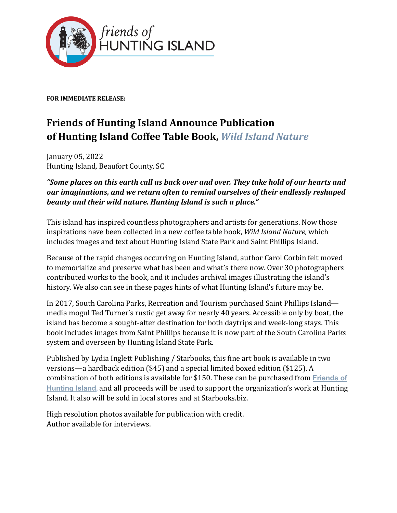

**FOR IMMEDIATE RELEASE:** 

## **Friends of Hunting Island Announce Publication of Hunting Island Coffee Table Book,** *Wild Island Nature*

January 05, 2022 Hunting Island, Beaufort County, SC

## "Some places on this earth call us back over and over. They take hold of our hearts and our imaginations, and we return often to remind ourselves of their endlessly reshaped *beauty* and their wild nature. Hunting Island is such a place."

This island has inspired countless photographers and artists for generations. Now those inspirations have been collected in a new coffee table book, *Wild Island Nature*, which includes images and text about Hunting Island State Park and Saint Phillips Island.

Because of the rapid changes occurring on Hunting Island, author Carol Corbin felt moved to memorialize and preserve what has been and what's there now. Over 30 photographers contributed works to the book, and it includes archival images illustrating the island's history. We also can see in these pages hints of what Hunting Island's future may be.

In 2017, South Carolina Parks, Recreation and Tourism purchased Saint Phillips Island media mogul Ted Turner's rustic get away for nearly 40 years. Accessible only by boat, the island has become a sought-after destination for both daytrips and week-long stays. This book includes images from Saint Phillips because it is now part of the South Carolina Parks system and overseen by Hunting Island State Park.

Published by Lydia Inglett Publishing / Starbooks, this fine art book is available in two versions—a hardback edition (\$45) and a special limited boxed edition (\$125). A combination of both editions is available for \$150. These can be purchased from Friends of **[Hunting Island](https://www.friendsofhuntingisland.org/shop)**, and all proceeds will be used to support the organization's work at Hunting Island. It also will be sold in local stores and at Starbooks.biz.

High resolution photos available for publication with credit. Author available for interviews.